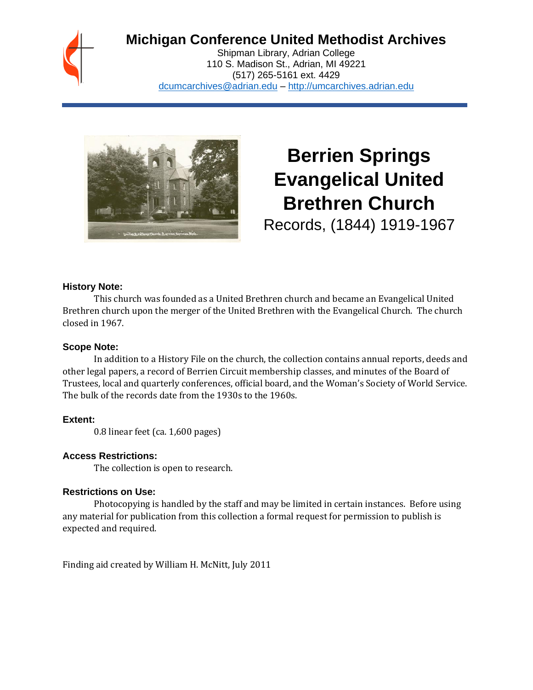

## **Michigan Conference United Methodist Archives**

Shipman Library, Adrian College 110 S. Madison St., Adrian, MI 49221 (517) 265-5161 ext. 4429 [dcumcarchives@adrian.edu](mailto:dcumcarchives@adrian.edu) – [http://umcarchives.adrian.edu](http://umcarchives.adrian.edu/)



# **Berrien Springs Evangelical United Brethren Church**

Records, (1844) 1919-1967

#### **History Note:**

This church was founded as a United Brethren church and became an Evangelical United Brethren church upon the merger of the United Brethren with the Evangelical Church. The church closed in 1967.

#### **Scope Note:**

In addition to a History File on the church, the collection contains annual reports, deeds and other legal papers, a record of Berrien Circuit membership classes, and minutes of the Board of Trustees, local and quarterly conferences, official board, and the Woman's Society of World Service. The bulk of the records date from the 1930s to the 1960s.

#### **Extent:**

0.8 linear feet (ca. 1,600 pages)

#### **Access Restrictions:**

The collection is open to research.

#### **Restrictions on Use:**

Photocopying is handled by the staff and may be limited in certain instances. Before using any material for publication from this collection a formal request for permission to publish is expected and required.

Finding aid created by William H. McNitt, July 2011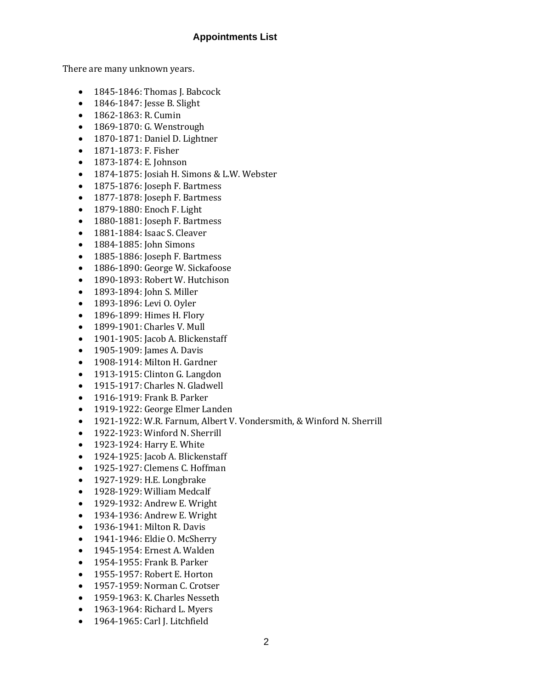#### **Appointments List**

There are many unknown years.

- 1845-1846: Thomas J. Babcock
- 1846-1847: Jesse B. Slight
- 1862-1863: R. Cumin
- 1869-1870: G. Wenstrough
- 1870-1871: Daniel D. Lightner
- 1871-1873: F. Fisher
- 1873-1874: E. Johnson
- 1874-1875: Josiah H. Simons & L.W. Webster
- 1875-1876: Joseph F. Bartmess
- 1877-1878: Joseph F. Bartmess
- 1879-1880: Enoch F. Light
- 1880-1881: Joseph F. Bartmess
- 1881-1884: Isaac S. Cleaver
- 1884-1885: John Simons
- 1885-1886: Joseph F. Bartmess
- 1886-1890: George W. Sickafoose
- 1890-1893: Robert W. Hutchison
- 1893-1894: John S. Miller
- 1893-1896: Levi O. Oyler
- 1896-1899: Himes H. Flory
- 1899-1901: Charles V. Mull
- 1901-1905: Jacob A. Blickenstaff
- 1905-1909: James A. Davis
- 1908-1914: Milton H. Gardner
- 1913-1915: Clinton G. Langdon
- 1915-1917: Charles N. Gladwell
- 1916-1919: Frank B. Parker
- 1919-1922: George Elmer Landen
- 1921-1922: W.R. Farnum, Albert V. Vondersmith, & Winford N. Sherrill
- 1922-1923: Winford N. Sherrill
- 1923-1924: Harry E. White
- 1924-1925: Jacob A. Blickenstaff
- 1925-1927: Clemens C. Hoffman
- 1927-1929: H.E. Longbrake
- 1928-1929: William Medcalf
- 1929-1932: Andrew E. Wright
- 1934-1936: Andrew E. Wright
- 1936-1941: Milton R. Davis
- 1941-1946: Eldie O. McSherry
- 1945-1954: Ernest A. Walden
- 1954-1955: Frank B. Parker
- 1955-1957: Robert E. Horton
- 1957-1959: Norman C. Crotser
- 1959-1963: K. Charles Nesseth
- 1963-1964: Richard L. Myers
- 1964-1965: Carl J. Litchfield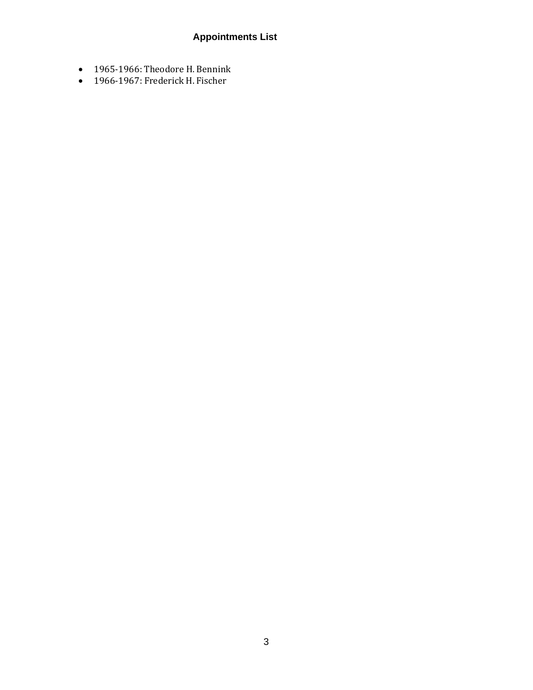### **Appointments List**

- 1965-1966: Theodore H. Bennink
- 1966-1967: Frederick H. Fischer